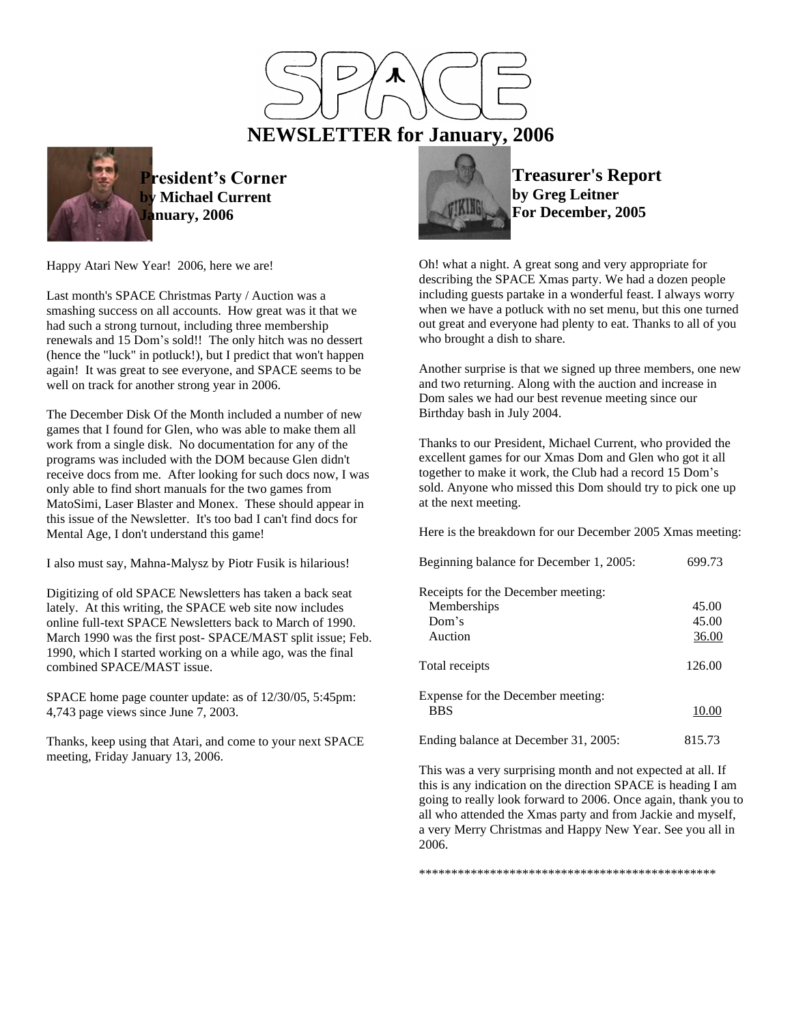



**President's Corner Michael Current January, 2006**

Happy Atari New Year! 2006, here we are!

Last month's SPACE Christmas Party / Auction was a smashing success on all accounts. How great was it that we had such a strong turnout, including three membership renewals and 15 Dom's sold!! The only hitch was no dessert (hence the "luck" in potluck!), but I predict that won't happen again! It was great to see everyone, and SPACE seems to be well on track for another strong year in 2006.

The December Disk Of the Month included a number of new games that I found for Glen, who was able to make them all work from a single disk. No documentation for any of the programs was included with the DOM because Glen didn't receive docs from me. After looking for such docs now, I was only able to find short manuals for the two games from MatoSimi, Laser Blaster and Monex. These should appear in this issue of the Newsletter. It's too bad I can't find docs for Mental Age, I don't understand this game!

I also must say, Mahna-Malysz by Piotr Fusik is hilarious!

Digitizing of old SPACE Newsletters has taken a back seat lately. At this writing, the SPACE web site now includes online full-text SPACE Newsletters back to March of 1990. March 1990 was the first post- SPACE/MAST split issue; Feb. 1990, which I started working on a while ago, was the final combined SPACE/MAST issue.

SPACE home page counter update: as of 12/30/05, 5:45pm: 4,743 page views since June 7, 2003.

Thanks, keep using that Atari, and come to your next SPACE meeting, Friday January 13, 2006.



**Treasurer's Report by Greg Leitner For December, 2005**

Oh! what a night. A great song and very appropriate for describing the SPACE Xmas party. We had a dozen people including guests partake in a wonderful feast. I always worry when we have a potluck with no set menu, but this one turned out great and everyone had plenty to eat. Thanks to all of you who brought a dish to share.

Another surprise is that we signed up three members, one new and two returning. Along with the auction and increase in Dom sales we had our best revenue meeting since our Birthday bash in July 2004.

Thanks to our President, Michael Current, who provided the excellent games for our Xmas Dom and Glen who got it all together to make it work, the Club had a record 15 Dom's sold. Anyone who missed this Dom should try to pick one up at the next meeting.

Here is the breakdown for our December 2005 Xmas meeting:

| Beginning balance for December 1, 2005: | 699.73 |  |
|-----------------------------------------|--------|--|
| Receipts for the December meeting:      |        |  |
| Memberships                             | 45.00  |  |
| Dom's                                   | 45.00  |  |
| Auction                                 | 36.00  |  |
| Total receipts                          | 126.00 |  |
| Expense for the December meeting:       |        |  |
| <b>BBS</b>                              | 10.00  |  |
| Ending balance at December 31, 2005:    | 815.73 |  |

This was a very surprising month and not expected at all. If this is any indication on the direction SPACE is heading I am going to really look forward to 2006. Once again, thank you to all who attended the Xmas party and from Jackie and myself, a very Merry Christmas and Happy New Year. See you all in 2006.

\*\*\*\*\*\*\*\*\*\*\*\*\*\*\*\*\*\*\*\*\*\*\*\*\*\*\*\*\*\*\*\*\*\*\*\*\*\*\*\*\*\*\*\*\*\*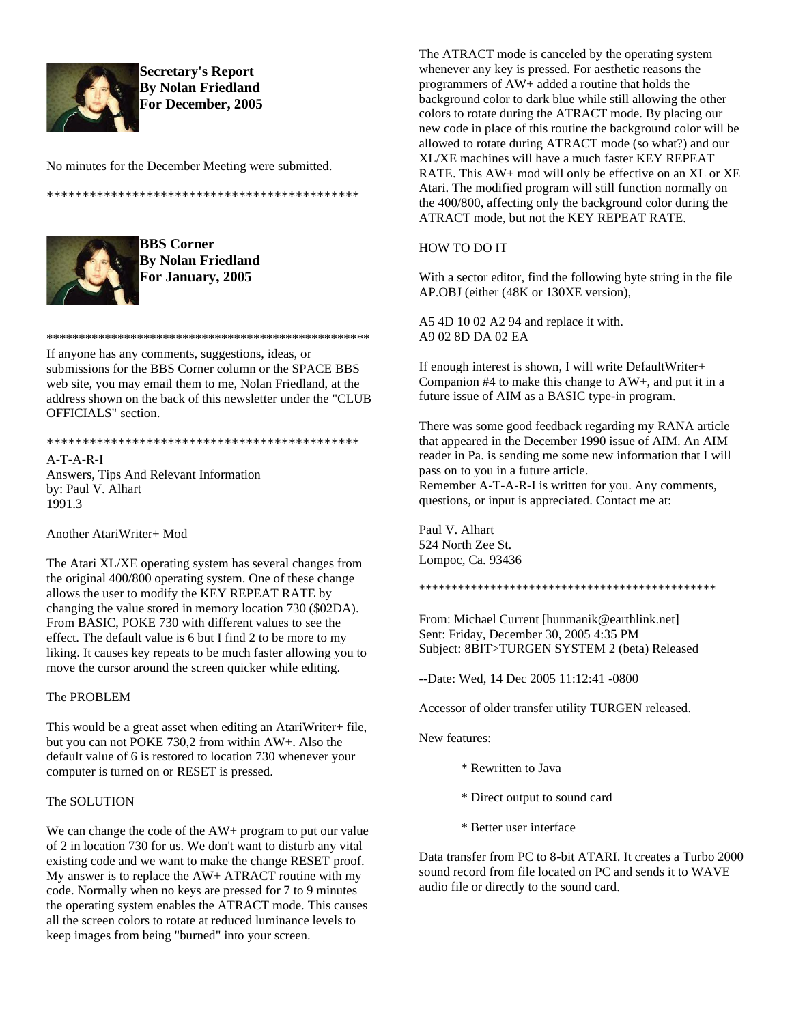

**Secretary's Report By Nolan Friedland For December, 2005**

No minutes for the December Meeting were submitted.

\*\*\*\*\*\*\*\*\*\*\*\*\*\*\*\*\*\*\*\*\*\*\*\*\*\*\*\*\*\*\*\*\*\*\*\*\*\*\*\*\*\*\*\*



**BBS Corner By Nolan Friedland For January, 2005**

\*\*\*\*\*\*\*\*\*\*\*\*\*\*\*\*\*\*\*\*\*\*\*\*\*\*\*\*\*\*\*\*\*\*\*\*\*\*\*\*\*\*\*\*\*\*\*\*\*\*

If anyone has any comments, suggestions, ideas, or submissions for the BBS Corner column or the SPACE BBS web site, you may email them to me, Nolan Friedland, at the address shown on the back of this newsletter under the "CLUB OFFICIALS" section.

#### \*\*\*\*\*\*\*\*\*\*\*\*\*\*\*\*\*\*\*\*\*\*\*\*\*\*\*\*\*\*\*\*\*\*\*\*\*\*\*\*\*\*\*\*

A-T-A-R-I Answers, Tips And Relevant Information by: Paul V. Alhart 1991.3

Another AtariWriter+ Mod

The Atari XL/XE operating system has several changes from the original 400/800 operating system. One of these change allows the user to modify the KEY REPEAT RATE by changing the value stored in memory location 730 (\$02DA). From BASIC, POKE 730 with different values to see the effect. The default value is 6 but I find 2 to be more to my liking. It causes key repeats to be much faster allowing you to move the cursor around the screen quicker while editing.

### The PROBLEM

This would be a great asset when editing an AtariWriter+ file, but you can not POKE 730,2 from within AW+. Also the default value of 6 is restored to location 730 whenever your computer is turned on or RESET is pressed.

#### The SOLUTION

We can change the code of the AW+ program to put our value of 2 in location 730 for us. We don't want to disturb any vital existing code and we want to make the change RESET proof. My answer is to replace the AW+ ATRACT routine with my code. Normally when no keys are pressed for 7 to 9 minutes the operating system enables the ATRACT mode. This causes all the screen colors to rotate at reduced luminance levels to keep images from being "burned" into your screen.

The ATRACT mode is canceled by the operating system whenever any key is pressed. For aesthetic reasons the programmers of AW+ added a routine that holds the background color to dark blue while still allowing the other colors to rotate during the ATRACT mode. By placing our new code in place of this routine the background color will be allowed to rotate during ATRACT mode (so what?) and our XL/XE machines will have a much faster KEY REPEAT RATE. This AW+ mod will only be effective on an XL or XE Atari. The modified program will still function normally on the 400/800, affecting only the background color during the ATRACT mode, but not the KEY REPEAT RATE.

### HOW TO DO IT

With a sector editor, find the following byte string in the file AP.OBJ (either (48K or 130XE version),

A5 4D 10 02 A2 94 and replace it with. A9 02 8D DA 02 EA

If enough interest is shown, I will write DefaultWriter+ Companion #4 to make this change to AW+, and put it in a future issue of AIM as a BASIC type-in program.

There was some good feedback regarding my RANA article that appeared in the December 1990 issue of AIM. An AIM reader in Pa. is sending me some new information that I will pass on to you in a future article.

Remember A-T-A-R-I is written for you. Any comments, questions, or input is appreciated. Contact me at:

Paul V. Alhart 524 North Zee St. Lompoc, Ca. 93436

\*\*\*\*\*\*\*\*\*\*\*\*\*\*\*\*\*\*\*\*\*\*\*\*\*\*\*\*\*\*\*\*\*\*\*\*\*\*\*\*\*\*\*\*\*\*

From: Michael Current [hunmanik@earthlink.net] Sent: Friday, December 30, 2005 4:35 PM Subject: 8BIT>TURGEN SYSTEM 2 (beta) Released

--Date: Wed, 14 Dec 2005 11:12:41 -0800

Accessor of older transfer utility TURGEN released.

New features:

- \* Rewritten to Java
- \* Direct output to sound card
- \* Better user interface

Data transfer from PC to 8-bit ATARI. It creates a Turbo 2000 sound record from file located on PC and sends it to WAVE audio file or directly to the sound card.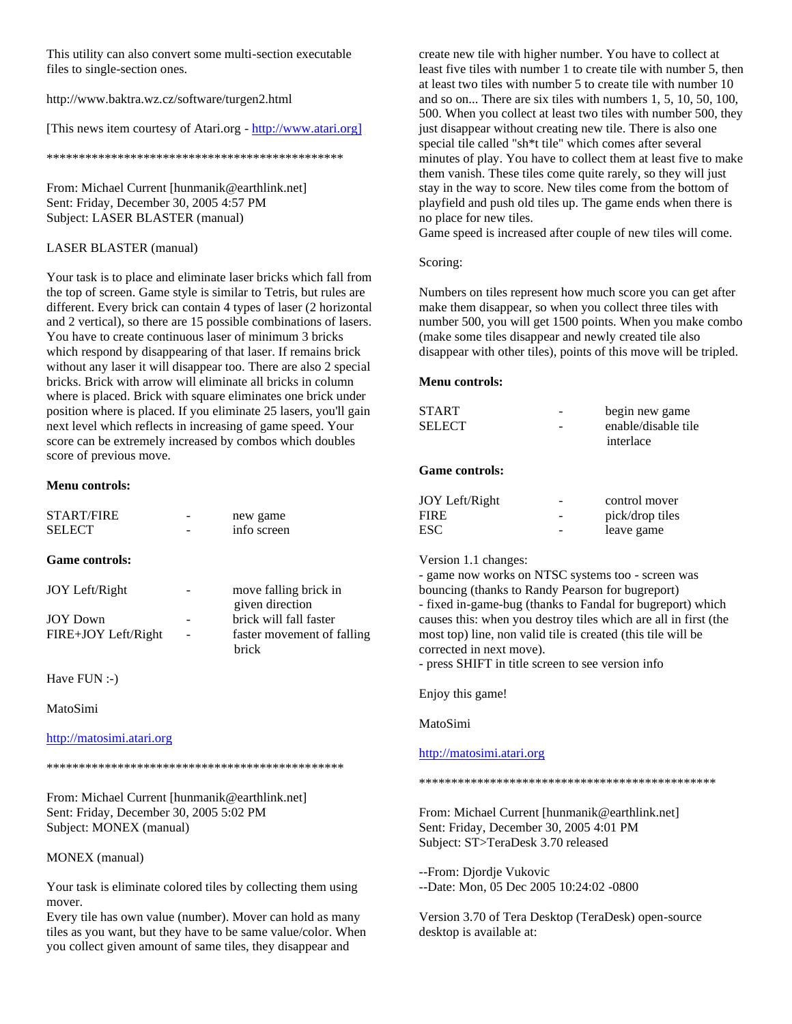This utility can also convert some multi-section executable files to single-section ones.

http://www.baktra.wz.cz/software/turgen2.html

[This news item courtesy of Atari.org - http://www.atari.org]

\*\*\*\*\*\*\*\*\*\*\*\*\*\*\*\*\*\*\*\*\*\*\*\*\*\*\*\*\*\*\*\*\*\*\*\*\*\*\*\*\*\*\*\*\*\*

From: Michael Current [hunmanik@earthlink.net] Sent: Friday, December 30, 2005 4:57 PM Subject: LASER BLASTER (manual)

# LASER BLASTER (manual)

Your task is to place and eliminate laser bricks which fall from the top of screen. Game style is similar to Tetris, but rules are different. Every brick can contain 4 types of laser (2 horizontal and 2 vertical), so there are 15 possible combinations of lasers. You have to create continuous laser of minimum 3 bricks which respond by disappearing of that laser. If remains brick without any laser it will disappear too. There are also 2 special bricks. Brick with arrow will eliminate all bricks in column where is placed. Brick with square eliminates one brick under position where is placed. If you eliminate 25 lasers, you'll gain next level which reflects in increasing of game speed. Your score can be extremely increased by combos which doubles score of previous move.

### **Menu controls:**

| <b>START/FIRE</b><br><b>SELECT</b> | new game<br>info screen                    | JVII<br><b>FIRE</b><br>ESC. |
|------------------------------------|--------------------------------------------|-----------------------------|
| <b>Game controls:</b>              |                                            | Versi<br>- gam              |
| JOY Left/Right                     | move falling brick in<br>given direction   | boun<br>- fixe              |
| <b>JOY Down</b>                    | brick will fall faster                     | cause                       |
| FIRE+JOY Left/Right                | faster movement of falling<br><b>brick</b> | most<br>corre<br>- pres     |
|                                    |                                            |                             |

Have FUN :-)

# MatoSimi

# http://matosimi.atari.org

\*\*\*\*\*\*\*\*\*\*\*\*\*\*\*\*\*\*\*\*\*\*\*\*\*\*\*\*\*\*\*\*\*\*\*\*\*\*\*\*\*\*\*\*\*\*

From: Michael Current [hunmanik@earthlink.net] Sent: Friday, December 30, 2005 5:02 PM Subject: MONEX (manual)

# MONEX (manual)

Your task is eliminate colored tiles by collecting them using mover.

Every tile has own value (number). Mover can hold as many tiles as you want, but they have to be same value/color. When you collect given amount of same tiles, they disappear and

create new tile with higher number. You have to collect at least five tiles with number 1 to create tile with number 5, then at least two tiles with number 5 to create tile with number 10 and so on... There are six tiles with numbers 1, 5, 10, 50, 100, 500. When you collect at least two tiles with number 500, they just disappear without creating new tile. There is also one special tile called "sh\*t tile" which comes after several minutes of play. You have to collect them at least five to make them vanish. These tiles come quite rarely, so they will just stay in the way to score. New tiles come from the bottom of playfield and push old tiles up. The game ends when there is no place for new tiles.

Game speed is increased after couple of new tiles will come.

### Scoring:

Numbers on tiles represent how much score you can get after make them disappear, so when you collect three tiles with number 500, you will get 1500 points. When you make combo (make some tiles disappear and newly created tile also disappear with other tiles), points of this move will be tripled.

#### **Menu controls:**

| <b>START</b><br><b>SELECT</b> | begin new game<br>enable/disable tile<br>interlace |
|-------------------------------|----------------------------------------------------|
| <b>Game controls:</b>         |                                                    |
| JOY Left/Right                | control mover                                      |
| <b>FIRE</b>                   | pick/drop tiles                                    |
| <b>ESC</b>                    | leave game                                         |

on 1.1 changes:

e now works on NTSC systems too - screen was cing (thanks to Randy Pearson for bugreport) d in-game-bug (thanks to Fandal for bugreport) which es this: when you destroy tiles which are all in first (the top) line, non valid tile is created (this tile will be cted in next move).

ss SHIFT in title screen to see version info

# Enjoy this game!

MatoSimi

# http://matosimi.atari.org

\*\*\*\*\*\*\*\*\*\*\*\*\*\*\*\*\*\*\*\*\*\*\*\*\*\*\*\*\*\*\*\*\*\*\*\*\*\*\*\*\*\*\*\*\*\*

From: Michael Current [hunmanik@earthlink.net] Sent: Friday, December 30, 2005 4:01 PM Subject: ST>TeraDesk 3.70 released

--From: Djordje Vukovic

--Date: Mon, 05 Dec 2005 10:24:02 -0800

Version 3.70 of Tera Desktop (TeraDesk) open-source desktop is available at: